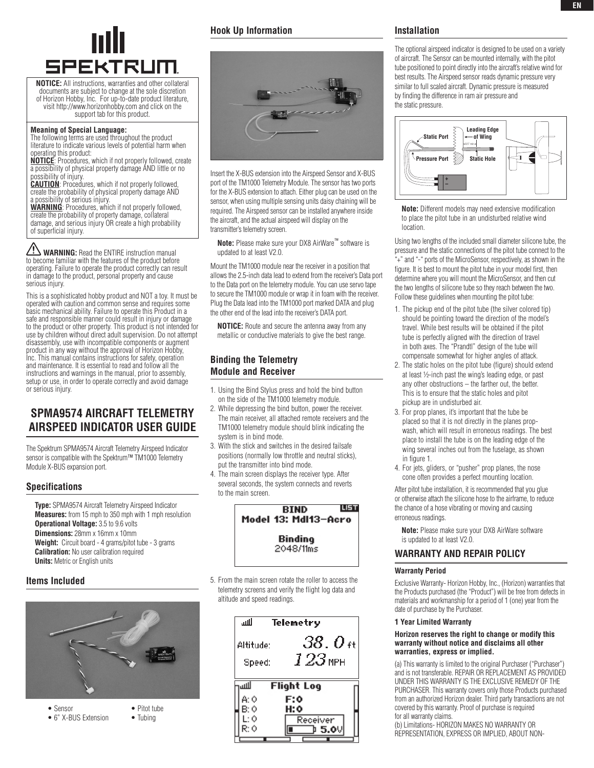

**NOTICE:** All instructions, warranties and other collateral documents are subject to change at the sole discretion of Horizon Hobby, Inc. For up-to-date product literature, visit http://www.horizonhobby.com and click on the support tab for this product.

## **Meaning of Special Language:**

The following terms are used throughout the product literature to indicate various levels of potential harm when operating this product:

**NOTICE**: Procedures, which if not properly followed, create a possibility of physical property damage AND little or no possibility of injury.

**CAUTION**: Procedures, which if not properly followed, create the probability of physical property damage AND

a possibility of serious injury. **WARNING**: Procedures, which if not properly followed, create the probability of property damage, collateral damage, and serious injury OR create a high probability of superficial injury.

**WARNING:** Read the ENTIRE instruction manual to become familiar with the features of the product before operating. Failure to operate the product correctly can result in damage to the product, personal property and cause serious injury.

This is a sophisticated hobby product and NOT a toy. It must be operated with caution and common sense and requires some basic mechanical ability. Failure to operate this Product in a safe and responsible manner could result in injury or damage to the product or other property. This product is not intended for use by children without direct adult supervision. Do not attempt disassembly, use with incompatible components or augment product in any way without the approval of Horizon Hobby, Inc. This manual contains instructions for safety, operation and maintenance. It is essential to read and follow all the instructions and warnings in the manual, prior to assembly, setup or use, in order to operate correctly and avoid damage or serious injury.

# **SPMA9574 AIRCRAFT TELEMETRY Airspeed Indicator User Guide**

The Spektrum SPMA9574 Aircraft Telemetry Airspeed Indicator sensor is compatible with the Spektrum™ TM1000 Telemetry Module X-BUS expansion port.

### **Specifications**

**Type:** SPMA9574 Aircraft Telemetry Airspeed Indicator **Measures:** from 15 mph to 350 mph with 1 mph resolution **Operational Voltage:** 3.5 to 9.6 volts **Dimensions:** 28mm x 16mm x 10mm Weight: Circuit board - 4 grams/pitot tube - 3 grams **Calibration:** No user calibration required **Units:** Metric or English units

### **Items Included**



```
• 6" X-BUS Extension • Tubing
```
## **Hook Up Information**



Insert the X-BUS extension into the Airspeed Sensor and X-BUS port of the TM1000 Telemetry Module. The sensor has two ports for the X-BUS extension to attach. Either plug can be used on the sensor, when using multiple sensing units daisy chaining will be required. The Airspeed sensor can be installed anywhere inside the aircraft, and the actual airspeed will display on the transmitter's telemetry screen.

**Note:** Please make sure your DX8 AirWare™ software is updated to at least V2.0.

Mount the TM1000 module near the receiver in a position that allows the 2.5-inch data lead to extend from the receiver's Data port to the Data port on the telemetry module. You can use servo tape to secure the TM1000 module or wrap it in foam with the receiver. Plug the Data lead into the TM1000 port marked DATA and plug the other end of the lead into the receiver's DATA port.

**NOTICE:** Route and secure the antenna away from any metallic or conductive materials to give the best range.

## **Binding the Telemetry Module and Receiver**

- 1. Using the Bind Stylus press and hold the bind button on the side of the TM1000 telemetry module.
- 2. While depressing the bind button, power the receiver. The main receiver, all attached remote receivers and the TM1000 telemetry module should blink indicating the system is in bind mode.
- 3. With the stick and switches in the desired failsafe positions (normally low throttle and neutral sticks), put the transmitter into bind mode.
- 4. The main screen displays the receiver type. After several seconds, the system connects and reverts to the main screen.



5. From the main screen rotate the roller to access the telemetry screens and verify the flight log data and altitude and speed readings.



### **Installation**

The optional airspeed indicator is designed to be used on a variety of aircraft. The Sensor can be mounted internally, with the pitot tube positioned to point directly into the aircraft's relative wind for best results. The Airspeed sensor reads dynamic pressure very similar to full scaled aircraft. Dynamic pressure is measured by finding the difference in ram air pressure and the static pressure.



**Note:** Different models may need extensive modification to place the pitot tube in an undisturbed relative wind location.

Using two lengths of the included small diameter silicone tube, the pressure and the static connections of the pitot tube connect to the .<br>"+" and "-" ports of the MicroSensor, respectively, as shown in the figure. It is best to mount the pitot tube in your model first, then determine where you will mount the MicroSensor, and then cut the two lengths of silicone tube so they reach between the two. Follow these guidelines when mounting the pitot tube:

- 1. The pickup end of the pitot tube (the silver colored tip) should be pointing toward the direction of the model's travel. While best results will be obtained if the pitot tube is perfectly aligned with the direction of travel in both axes. The "Prandtl" design of the tube will compensate somewhat for higher angles of attack.
- 2. The static holes on the pitot tube (figure) should extend at least ½-inch past the wing's leading edge, or past any other obstructions – the farther out, the better. This is to ensure that the static holes and pitot pickup are in undisturbed air.
- 3. For prop planes, it's important that the tube be placed so that it is not directly in the planes propwash, which will result in erroneous readings. The best place to install the tube is on the leading edge of the wing several inches out from the fuselage, as shown in figure 1.
- 4. For jets, gliders, or "pusher" prop planes, the nose cone often provides a perfect mounting location.

After pitot tube installation, it is recommended that you glue or otherwise attach the silicone hose to the airframe, to reduce the chance of a hose vibrating or moving and causing erroneous readings.

**Note:** Please make sure your DX8 AirWare software is updated to at least V2.0.

# **warranty and repair policy**

### **Warranty Period**

Exclusive Warranty- Horizon Hobby, Inc., (Horizon) warranties that the Products purchased (the "Product") will be free from defects in materials and workmanship for a period of 1 (one) year from the date of purchase by the Purchaser.

### **1 Year Limited Warranty**

### **Horizon reserves the right to change or modify this warranty without notice and disclaims all other warranties, express or implied.**

(a) This warranty is limited to the original Purchaser ("Purchaser") and is not transferable. REPAIR OR REPLACEMENT AS PROVIDED UNDER THIS WARRANTY IS THE EXCLUSIVE REMEDY OF THE PURCHASER. This warranty covers only those Products purchased from an authorized Horizon dealer. Third party transactions are not covered by this warranty. Proof of purchase is required for all warranty claims.

(b) Limitations- HORIZON MAKES NO WARRANTY OR REPRESENTATION, EXPRESS OR IMPLIED, ABOUT NON-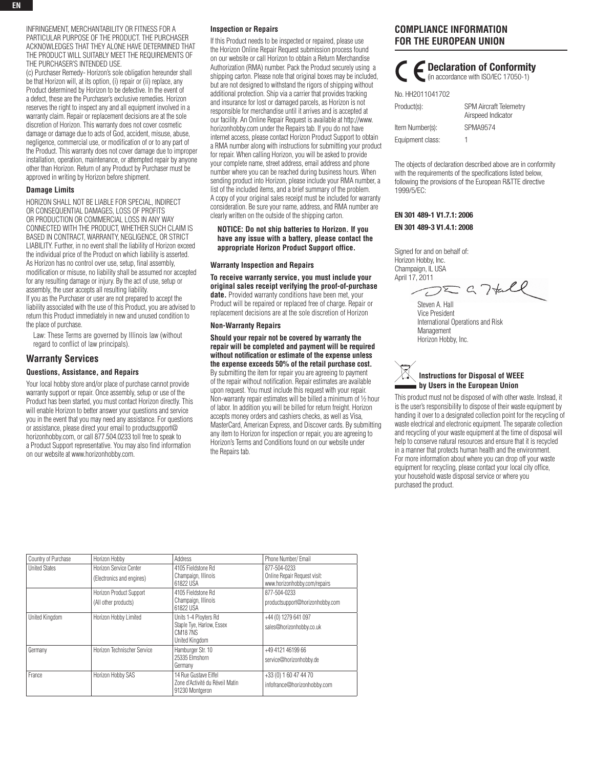INFRINGEMENT, MERCHANTABILITY OR FITNESS FOR A PARTICULAR PURPOSE OF THE PRODUCT. THE PURCHASER ACKNOWLEDGES THAT THEY ALONE HAVE DETERMINED THAT THE PRODUCT WILL SUITABLY MEET THE REQUIREMENTS OF THE PURCHASER'S INTENDED USE.

(c) Purchaser Remedy- Horizon's sole obligation hereunder shall be that Horizon will, at its option, (i) repair or (ii) replace, any Product determined by Horizon to be defective. In the event of a defect, these are the Purchaser's exclusive remedies. Horizon reserves the right to inspect any and all equipment involved in a warranty claim. Repair or replacement decisions are at the sole discretion of Horizon. This warranty does not cover cosmetic damage or damage due to acts of God, accident, misuse, abuse, negligence, commercial use, or modification of or to any part of the Product. This warranty does not cover damage due to improper installation, operation, maintenance, or attempted repair by anyone other than Horizon. Return of any Product by Purchaser must be approved in writing by Horizon before shipment.

### **Damage Limits**

HORIZON SHALL NOT BE LIABLE FOR SPECIAL, INDIRECT OR CONSEQUENTIAL DAMAGES, LOSS OF PROFITS OR PRODUCTION OR COMMERCIAL LOSS IN ANY WAY CONNECTED WITH THE PRODUCT, WHETHER SUCH CLAIM IS BASED IN CONTRACT, WARRANTY, NEGLIGENCE, OR STRICT LIABILITY. Further, in no event shall the liability of Horizon exceed the individual price of the Product on which liability is asserted. As Horizon has no control over use, setup, final assembly, modification or misuse, no liability shall be assumed nor accepted for any resulting damage or injury. By the act of use, setup or assembly, the user accepts all resulting liability. If you as the Purchaser or user are not prepared to accept the liability associated with the use of this Product, you are advised to return this Product immediately in new and unused condition to the place of purchase.

Law: These Terms are governed by Illinois law (without regard to conflict of law principals).

### **Warranty Services**

### **Questions, Assistance, and Repairs**

Your local hobby store and/or place of purchase cannot provide warranty support or repair. Once assembly, setup or use of the Product has been started, you must contact Horizon directly. This will enable Horizon to better answer your questions and service you in the event that you may need any assistance. For questions or assistance, please direct your email to productsupport@ horizonhobby.com, or call 877.504.0233 toll free to speak to a Product Support representative. You may also find information on our website at www.horizonhobby.com.

#### **Inspection or Repairs**

If this Product needs to be inspected or repaired, please use the Horizon Online Repair Request submission process found on our website or call Horizon to obtain a Return Merchandise Authorization (RMA) number. Pack the Product securely using a shipping carton. Please note that original boxes may be included, but are not designed to withstand the rigors of shipping without additional protection. Ship via a carrier that provides tracking and insurance for lost or damaged parcels, as Horizon is not responsible for merchandise until it arrives and is accepted at our facility. An Online Repair Request is available at http://www. horizonhobby.com under the Repairs tab. If you do not have internet access, please contact Horizon Product Support to obtain a RMA number along with instructions for submitting your product for repair. When calling Horizon, you will be asked to provide your complete name, street address, email address and phone number where you can be reached during business hours. When sending product into Horizon, please include your RMA number, a list of the included items, and a brief summary of the problem. A copy of your original sales receipt must be included for warranty consideration. Be sure your name, address, and RMA number are clearly written on the outside of the shipping carton.

### **Notice: Do not ship batteries to Horizon. If you have any issue with a battery, please contact the appropriate Horizon Product Support office.**

#### **Warranty Inspection and Repairs**

**To receive warranty service, you must include your original sales receipt verifying the proof-of-purchase date.** Provided warranty conditions have been met, your Product will be repaired or replaced free of charge. Repair or replacement decisions are at the sole discretion of Horizon

#### **Non-Warranty Repairs**

**Should your repair not be covered by warranty the repair will be completed and payment will be required without notification or estimate of the expense unless the expense exceeds 50% of the retail purchase cost.**

By submitting the item for repair you are agreeing to payment of the repair without notification. Repair estimates are available upon request. You must include this request with your repair. Non-warranty repair estimates will be billed a minimum of ½ hour of labor. In addition you will be billed for return freight. Horizon accepts money orders and cashiers checks, as well as Visa, MasterCard, American Express, and Discover cards. By submitting any item to Horizon for inspection or repair, you are agreeing to Horizon's Terms and Conditions found on our website under the Repairs tab.

# **Compliance Information for the European Union**

Declaration of Conformity (in accordance with ISO/IEC 17050-1) No. HH2011041702 Product(s): SPM Aircraft Telemetry Airspeed Indicator Item Number(s): SPMA9574

The objects of declaration described above are in conformity with the requirements of the specifications listed below, following the provisions of the European R&TTE directive 1999/5/EC:

### EN 301 489-1 V1.7.1: 2006 EN 301 489-3 V1.4.1: 2008

Equipment class: 1

Signed for and on behalf of: Horizon Hobby, Inc. Champaign, IL USA

April 17, 2011

Steven A. Hall Vice President International Operations and Risk **Management** Horizon Hobby, Inc.



This product must not be disposed of with other waste. Instead, it is the user's responsibility to dispose of their waste equipment by handing it over to a designated collection point for the recycling of waste electrical and electronic equipment. The separate collection and recycling of your waste equipment at the time of disposal will help to conserve natural resources and ensure that it is recycled in a manner that protects human health and the environment. For more information about where you can drop off your waste equipment for recycling, please contact your local city office, your household waste disposal service or where you purchased the product.

| Country of Purchase   | Horizon Hobby                                          | Address                                                                                | Phone Number/ Email                                                             |
|-----------------------|--------------------------------------------------------|----------------------------------------------------------------------------------------|---------------------------------------------------------------------------------|
| <b>United States</b>  | Horizon Service Center<br>(Electronics and engines)    | 4105 Fieldstone Rd<br>Champaign, Illinois                                              | 877-504-0233<br>Online Repair Request visit:                                    |
|                       | <b>Horizon Product Support</b><br>(All other products) | 61822 USA<br>4105 Fieldstone Rd<br>Champaign, Illinois<br>61822 USA                    | www.horizonhobby.com/repairs<br>877-504-0233<br>productsupport@horizonhobby.com |
| <b>United Kinadom</b> | Horizon Hobby Limited                                  | Units 1-4 Plovters Rd<br>Staple Tye, Harlow, Essex<br><b>CM187NS</b><br>United Kingdom | +44 (0) 1279 641 097<br>sales@horizonhobby.co.uk                                |
| Germany               | Horizon Technischer Service                            | Hamburger Str. 10<br>25335 Elmshorn<br>Germany                                         | +49 4121 46199 66<br>service@horizonhobby.de                                    |
| France                | Horizon Hobby SAS                                      | 14 Rue Gustave Eiffel<br>Zone d'Activité du Réveil Matin<br>91230 Montgeron            | +33 (0) 1 60 47 44 70<br>infofrance@horizonhobby.com                            |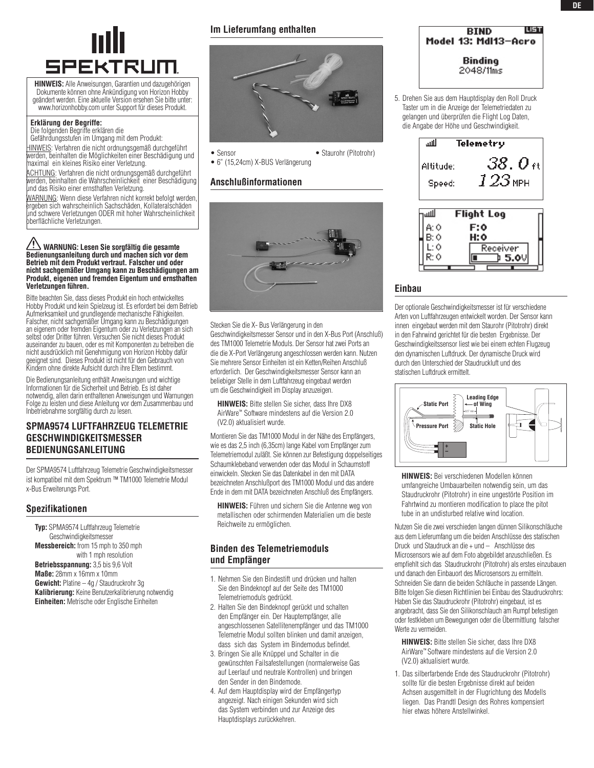

**HINWEIS:** Alle Anweisungen, Garantien und dazugehörigen Dokumente können ohne Ankündigung von Horizon Hobby geändert werden. Eine aktuelle Version ersehen Sie bitte unter: www.horizonhobby.com unter Support für dieses Produkt.

### **Erklärung der Begriffe:**

Die folgenden Begriffe erklären die

Gefährdungsstufen im Umgang mit dem Produkt: Hinweis: Verfahren die nicht ordnungsgemäß durchgeführt werden, beinhalten die Möglichkeiten einer Beschädigung und maximal ein kleines Risiko einer Verletzung.

ACHTUNG: Verfahren die nicht ordnungsgemäß durchgeführt werden, beinhalten die Wahrscheinlichkeit einer Beschädigung und das Risiko einer ernsthaften Verletzung.

WARNUNG: Wenn diese Verfahren nicht korrekt befolgt werden, ergeben sich wahrscheinlich Sachschäden, Kollateralschäden und schwere Verletzungen ODER mit hoher Wahrscheinlichkeit oberflächliche Verletzungen.

#### **Warnung: Lesen Sie sorgfältig die gesamte Bedienungsanleitung durch und machen sich vor dem Betrieb mit dem Produkt vertraut. Falscher und oder nicht sachgemäßer Umgang kann zu Beschädigungen am Produkt, eigenen und fremden Eigentum und ernsthaften Verletzungen führen.**

Bitte beachten Sie, dass dieses Produkt ein hoch entwickeltes Hobby Produkt und kein Spielzeug ist. Es erfordert bei dem Betrieb Aufmerksamkeit und grundlegende mechanische Fähigkeiten. Falscher, nicht sachgemäßer Umgang kann zu Beschädigungen an eigenem oder fremden Eigentum oder zu Verletzungen an sich selbst oder Dritter führen. Versuchen Sie nicht dieses Produkt auseinander zu bauen, oder es mit Komponenten zu betreiben die nicht ausdrücklich mit Genehmigung von Horizon Hobby dafür geeignet sind. Dieses Produkt ist nicht für den Gebrauch von Kindern ohne direkte Aufsicht durch ihre Eltern bestimmt.

Die Bedienungsanleitung enthält Anweisungen und wichtige Informationen für die Sicherheit und Betrieb. Es ist daher notwendig, allen darin enthaltenen Anweisungen und Warnungen Folge zu leisten und diese Anleitung vor dem Zusammenbau und Inbetriebnahme sorgfältig durch zu lesen.

# **SPMA9574 Luftfahrzeug Telemetrie Geschwindigkeitsmesser Bedienungsanleitung**

Der SPMA9574 Luftfahrzeug Telemetrie Geschwindigkeitsmesser ist kompatibel mit dem Spektrum ™ TM1000 Telemetrie Modul x-Bus Erweiterungs Port.

## **Spezifikationen**

**Typ:** SPMA9574 Luftfahrzeug Telemetrie Geschwindigkeitsmesser **Messbereich:** from 15 mph to 350 mph with 1 mph resolution **Betriebsspannung:** 3,5 bis 9,6 Volt **Maße:** 28mm x 16mm x 10mm **Gewicht:** Platine – 4g / Staudruckrohr 3g **Kalibrierung:** Keine Benutzerkalibrierung notwendig **Einheiten:** Metrische oder Englische Einheiten

**Im Lieferumfang enthalten** 



• Sensor • Staurohr (Pitotrohr) • 6" (15,24cm) X-BUS Verlängerung 

## **Anschlußinformationen**



Stecken Sie die X- Bus Verlängerung in den Geschwindigkeitsmesser Sensor und in den X-Bus Port (Anschluß) des TM1000 Telemetrie Moduls. Der Sensor hat zwei Ports an die die X-Port Verlängerung angeschlossen werden kann. Nutzen Sie mehrere Sensor Einheiten ist ein Ketten/Reihen Anschluß erforderlich. Der Geschwindigkeitsmesser Sensor kann an beliebiger Stelle in dem Luftfahrzeug eingebaut werden um die Geschwindigkeit im Display anzuzeigen.

**Hinweis:** Bitte stellen Sie sicher, dass Ihre DX8 AirWare™ Software mindestens auf die Version 2.0 (V2.0) aktualisiert wurde.

Montieren Sie das TM1000 Modul in der Nähe des Empfängers, wie es das 2,5 inch (6,35cm) lange Kabel vom Empfänger zum Telemetriemodul zuläßt. Sie können zur Befestigung doppelseitiges Schaumklebeband verwenden oder das Modul in Schaumstoff einwickeln. Stecken Sie das Datenkabel in den mit DATA bezeichneten Anschlußport des TM1000 Modul und das andere Ende in dem mit DATA bezeichneten Anschluß des Empfängers.

**Hinweis:** Führen und sichern Sie die Antenne weg von metallischen oder schirmenden Materialien um die beste Reichweite zu ermöglichen.

# **Binden des Telemetriemoduls und Empfänger**

- 1. Nehmen Sie den Bindestift und drücken und halten Sie den Bindeknopf auf der Seite des TM1000 Telemetriemoduls gedrückt.
- 2. Halten Sie den Bindeknopf gerückt und schalten den Empfänger ein. Der Hauptempfänger, alle angeschlossenen Satellitenempfänger und das TM1000 Telemetrie Modul sollten blinken und damit anzeigen, dass sich das System im Bindemodus befindet.
- 3. Bringen Sie alle Knüppel und Schalter in die gewünschten Failsafestellungen (normalerweise Gas auf Leerlauf und neutrale Kontrollen) und bringen den Sender in den Bindemode.
- 4. Auf dem Hauptdisplay wird der Empfängertyp angezeigt. Nach einigen Sekunden wird sich das System verbinden und zur Anzeige des Hauptdisplays zurückkehren.
- **LIST BIND** Model 13: MdI13-Acro Binding 2048/11ms
- 5. Drehen Sie aus dem Hauptdisplay den Roll Druck Taster um in die Anzeige der Telemetriedaten zu gelangen und überprüfen die Flight Log Daten, die Angabe der Höhe und Geschwindigkeit.



# **Einbau**

Der optionale Geschwindigkeitsmesser ist für verschiedene Arten von Luftfahrzeugen entwickelt worden. Der Sensor kann innen eingebaut werden mit dem Staurohr (Pitotrohr) direkt in den Fahrwind gerichtet für die besten Ergebnisse. Der Geschwindigkeitssensor liest wie bei einem echten Flugzeug den dynamischen Luftdruck. Der dynamische Druck wird durch den Unterschied der Staudruckluft und des statischen Luftdruck ermittelt.



**HINWEIS:** Bei verschiedenen Modellen können umfangreiche Umbauarbeiten notwendig sein, um das Staudruckrohr (Pitotrohr) in eine ungestörte Position im Fahrtwind zu montieren modification to place the pitot tube in an undisturbed relative wind location.

Nutzen Sie die zwei verschieden langen dünnen Silikonschläuche aus dem Lieferumfang um die beiden Anschlüsse des statischen Druck und Staudruck an die + und – Anschlüsse des Microsensors wie auf dem Foto abgebildet anzuschließen. Es empfiehlt sich das Staudruckrohr (Pitotrohr) als erstes einzubauen und danach den Einbauort des Microsensors zu ermitteln. Schneiden Sie dann die beiden Schläuche in passende Längen. Bitte folgen Sie diesen Richtlinien bei Einbau des Staudruckrohrs: Haben Sie das Staudruckrohr (Pitotrohr) eingebaut, ist es angebracht, dass Sie den Silikonschlauch am Rumpf befestigen oder festkleben um Bewegungen oder die Übermittlung falscher Werte zu vermeiden.

**HINWEIS:** Bitte stellen Sie sicher, dass Ihre DX8 AirWare™ Software mindestens auf die Version 2.0 (V2.0) aktualisiert wurde.

1. Das silberfarbende Ende des Staudruckrohr (Pitotrohr) sollte für die besten Ergebnisse direkt auf beiden Achsen ausgemittelt in der Flugrichtung des Modells liegen. Das Prandtl Design des Rohres kompensiert hier etwas höhere Anstellwinkel.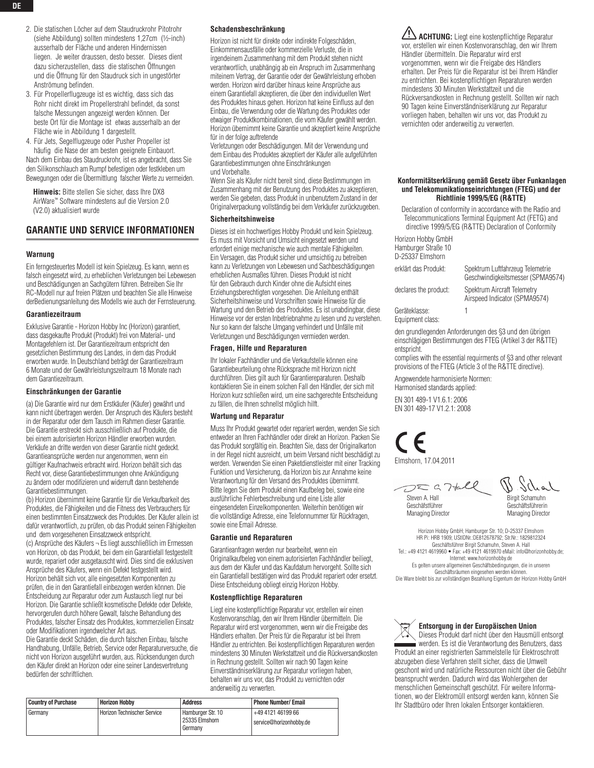- 2. Die statischen Löcher auf dem Staudruckrohr Pitotrohr (siehe Abbildung) sollten mindestens 1,27cm (½-inch) ausserhalb der Fläche und anderen Hindernissen liegen. Je weiter draussen, desto besser. Dieses dient dazu sicherzustellen, dass die statischen Öffnungen und die Öffnung für den Staudruck sich in ungestörter Anströmung befinden.
- 3. Für Propellerflugzeuge ist es wichtig, dass sich das Rohr nicht direkt im Propellerstrahl befindet, da sonst falsche Messungen angezeigt werden können. Der beste Ort für die Montage ist etwas ausserhalb an der Fläche wie in Abbildung 1 dargestellt.

4. Für Jets, Segelflugzeuge oder Pusher Propeller ist häufig die Nase der am besten geeignete Einbauort. Nach dem Einbau des Staudruckrohr, ist es angebracht, dass Sie den Silikonschlauch am Rumpf befestigen oder festkleben um Bewegungen oder die Übermittlung falscher Werte zu vermeiden.

**Hinweis:** Bitte stellen Sie sicher, dass Ihre DX8 AirWare™ Software mindestens auf die Version 2.0 (V2.0) aktualisiert wurde

## **Garantie und Service Informationen**

### **Warnung**

Ein ferngesteuertes Modell ist kein Spielzeug. Es kann, wenn es falsch eingesetzt wird, zu erheblichen Verletzungen bei Lebewesen und Beschädigungen an Sachgütern führen. Betreiben Sie Ihr RC-Modell nur auf freien Plätzen und beachten Sie alle Hinweise derBedienungsanleitung des Modells wie auch der Fernsteuerung.

### **Garantiezeitraum**

Exklusive Garantie - Horizon Hobby Inc (Horizon) garantiert, dass dasgekaufte Produkt (Produkt) frei von Material- und Montagefehlern ist. Der Garantiezeitraum entspricht den gesetzlichen Bestimmung des Landes, in dem das Produkt erworben wurde. In Deutschland beträgt der Garantiezeitraum 6 Monate und der Gewährleistungszeitraum 18 Monate nach dem Garantiezeitraum.

#### **Einschränkungen der Garantie**

(a) Die Garantie wird nur dem Erstkäufer (Käufer) gewährt und kann nicht übertragen werden. Der Anspruch des Käufers besteht in der Reparatur oder dem Tausch im Rahmen dieser Garantie. Die Garantie erstreckt sich ausschließlich auf Produkte, die bei einem autorisierten Horizon Händler erworben wurden. Verkäufe an dritte werden von dieser Garantie nicht gedeckt. Garantieansprüche werden nur angenommen, wenn ein gültiger Kaufnachweis erbracht wird. Horizon behält sich das Recht vor, diese Garantiebestimmungen ohne Ankündigung zu ändern oder modifizieren und widerruft dann bestehende Garantiebestimmungen.

(b) Horizon übernimmt keine Garantie für die Verkaufbarkeit des Produktes, die Fähigkeiten und die Fitness des Verbrauchers für einen bestimmten Einsatzzweck des Produktes. Der Käufer allein ist dafür verantwortlich, zu prüfen, ob das Produkt seinen Fähigkeiten und dem vorgesehenen Einsatzzweck entspricht. (c) Ansprüche des Käufers ¬ Es liegt ausschließlich im Ermessen

von Horizon, ob das Produkt, bei dem ein Garantiefall festgestellt wurde, repariert oder ausgetauscht wird. Dies sind die exklusiven Ansprüche des Käufers, wenn ein Defekt festgestellt wird. Horizon behält sich vor, alle eingesetzten Komponenten zu prüfen, die in den Garantiefall einbezogen werden können. Die Entscheidung zur Reparatur oder zum Austausch liegt nur bei Horizon. Die Garantie schließt kosmetische Defekte oder Defekte, hervorgerufen durch höhere Gewalt, falsche Behandlung des Produktes, falscher Einsatz des Produktes, kommerziellen Einsatz oder Modifikationen irgendwelcher Art aus.

Die Garantie deckt Schäden, die durch falschen Einbau, falsche Handhabung, Unfälle, Betrieb, Service oder Reparaturversuche, die nicht von Horizon ausgeführt wurden, aus. Rücksendungen durch den Käufer direkt an Horizon oder eine seiner Landesvertretung bedürfen der schriftlichen.

#### **Schadensbeschränkung**

Horizon ist nicht für direkte oder indirekte Folgeschäden, Einkommensausfälle oder kommerzielle Verluste, die in irgendeinem Zusammenhang mit dem Produkt stehen nicht verantwortlich, unabhängig ab ein Anspruch im Zusammenhang miteinem Vertrag, der Garantie oder der Gewährleistung erhoben werden. Horizon wird darüber hinaus keine Ansprüche aus einem Garantiefall akzeptieren, die über den individuellen Wert des Produktes hinaus gehen. Horizon hat keine Einfluss auf den Einbau, die Verwendung oder die Wartung des Produktes oder etwaiger Produktkombinationen, die vom Käufer gewählt werden. Horizon übernimmt keine Garantie und akzeptiert keine Ansprüche für in der folge auftretende

Verletzungen oder Beschädigungen. Mit der Verwendung und dem Einbau des Produktes akzeptiert der Käufer alle aufgeführten Garantiebestimmungen ohne Einschränkungen und Vorbehalte.

Wenn Sie als Käufer nicht bereit sind, diese Bestimmungen im Zusammenhang mit der Benutzung des Produktes zu akzeptieren, werden Sie gebeten, dass Produkt in unbenutztem Zustand in der Originalverpackung vollständig bei dem Verkäufer zurückzugeben.

### **Sicherheitshinweise**

Dieses ist ein hochwertiges Hobby Produkt und kein Spielzeug. Es muss mit Vorsicht und Umsicht eingesetzt werden und erfordert einige mechanische wie auch mentale Fähigkeiten. Ein Versagen, das Produkt sicher und umsichtig zu betreiben kann zu Verletzungen von Lebewesen und Sachbeschädigungen erheblichen Ausmaßes führen. Dieses Produkt ist nicht für den Gebrauch durch Kinder ohne die Aufsicht eines Erziehungsberechtigten vorgesehen. Die Anleitung enthält Sicherheitshinweise und Vorschriften sowie Hinweise für die Wartung und den Betrieb des Produktes. Es ist unabdingbar, diese Hinweise vor der ersten Inbetriebnahme zu lesen und zu verstehen. Nur so kann der falsche Umgang verhindert und Unfälle mit Verletzungen und Beschädigungen vermieden werden.

### **Fragen, Hilfe und Reparaturen**

Ihr lokaler Fachhändler und die Verkaufstelle können eine Garantiebeurteilung ohne Rücksprache mit Horizon nicht durchführen. Dies gilt auch für Garantiereparaturen. Deshalb kontaktieren Sie in einem solchen Fall den Händler, der sich mit Horizon kurz schließen wird, um eine sachgerechte Entscheidung zu fällen, die Ihnen schnellst möglich hilft.

#### **Wartung und Reparatur**

Muss Ihr Produkt gewartet oder repariert werden, wenden Sie sich entweder an Ihren Fachhändler oder direkt an Horizon. Packen Sie das Produkt sorgfältig ein. Beachten Sie, dass der Originalkarton in der Regel nicht ausreicht, um beim Versand nicht beschädigt zu werden. Verwenden Sie einen Paketdienstleister mit einer Tracking Funktion und Versicherung, da Horizon bis zur Annahme keine Verantwortung für den Versand des Produktes übernimmt. Bitte legen Sie dem Produkt einen Kaufbeleg bei, sowie eine ausführliche Fehlerbeschreibung und eine Liste aller eingesendeten Einzelkomponenten. Weiterhin benötigen wir die vollständige Adresse, eine Telefonnummer für Rückfragen, sowie eine Email Adresse.

### **Garantie und Reparaturen**

Garantieanfragen werden nur bearbeitet, wenn ein Originalkaufbeleg von einem autorisierten Fachhändler beiliegt, aus dem der Käufer und das Kaufdatum hervorgeht. Sollte sich ein Garantiefall bestätigen wird das Produkt repariert oder ersetzt. Diese Entscheidung obliegt einzig Horizon Hobby.

#### **Kostenpflichtige Reparaturen**

Liegt eine kostenpflichtige Reparatur vor, erstellen wir einen Kostenvoranschlag, den wir Ihrem Händler übermitteln. Die Reparatur wird erst vorgenommen, wenn wir die Freigabe des Händlers erhalten. Der Preis für die Reparatur ist bei Ihrem Händler zu entrichten. Bei kostenpflichtigen Reparaturen werden mindestens 30 Minuten Werkstattzeit und die Rückversandkosten in Rechnung gestellt. Sollten wir nach 90 Tagen keine Einverständniserklärung zur Reparatur vorliegen haben, behalten wir uns vor, das Produkt zu vernichten oder anderweitig zu verwerten.

| <b>Country of Purchase</b> | <b>Horizon Hobby</b>        | <b>Address</b>                        | Phone Number/ Email     |
|----------------------------|-----------------------------|---------------------------------------|-------------------------|
| l Germanv                  | Horizon Technischer Service | l Hamburger Str. 10<br>25335 Elmshorn | +49 4121 46199 66       |
|                            |                             | Germany                               | service@horizonhobby.de |

**ACHTUNG:** Liegt eine kostenpflichtige Reparatur vor, erstellen wir einen Kostenvoranschlag, den wir Ihrem Händler übermitteln. Die Reparatur wird erst vorgenommen, wenn wir die Freigabe des Händlers erhalten. Der Preis für die Reparatur ist bei Ihrem Händler zu entrichten. Bei kostenpflichtigen Reparaturen werden mindestens 30 Minuten Werkstattzeit und die Rückversandkosten in Rechnung gestellt. Sollten wir nach 90 Tagen keine Einverständniserklärung zur Reparatur vorliegen haben, behalten wir uns vor, das Produkt zu vernichten oder anderweitig zu verwerten.

### **Konformitätserklärung gemäß Gesetz über Funkanlagen und Telekomunikationseinrichtungen (FTEG) und der Richtlinie 1999/5/EG (R&TTE)**

Declaration of conformity in accordance with the Radio and Telecommunications Terminal Equipment Act (FETG) and directive 1999/5/EG (R&TTE) Declaration of Conformity

Horizon Hobby GmbH Hamburger Straße 10 D-25337 Elmshorn

| erklärt das Produkt:  | Spektrum Luftfahrzeug Telemetrie<br>Geschwindigkeitsmesser (SPMA9574) |
|-----------------------|-----------------------------------------------------------------------|
| declares the product: | Spektrum Aircraft Telemetry<br>Airspeed Indicator (SPMA9574)          |
| Corötokloppo          |                                                                       |

Geräteklasse: 1 Equipment class:

den grundlegenden Anforderungen des §3 und den übrigen einschlägigen Bestimmungen des FTEG (Artikel 3 der R&TTE) entspricht.

complies with the essential requirments of §3 and other relevant provisions of the FTEG (Article 3 of the R&TTE directive).

Angewendete harmonisierte Normen:

Harmonised standards applied: EN 301 489-1 V1.6.1: 2006

EN 301 489-17 V1.2.1: 2008

Elmshorn, 17.04.2011

 $DZGTHll$ Steven A. Hall Geschäfstführer Managing Director

Schol Birgit Schamuhn Geschäftsführerin Managing Director

Horizon Hobby GmbH; Hamburger Str. 10; D-25337 Elmshorn HR Pi: HRB 1909; UStIDNr.:DE812678792; Str.Nr.: 1829812324 Geschäftsführer Birgit Schamuhn, Steven A. Hall Tel.: +49 4121 4619960 • Fax: +49 4121 4619970 eMail: info@horizonhobby.de; Internet: www.horizonhobby.de Es gelten unsere allgemeinen Geschäftsbedingungen, die in unseren Geschäftsräumen eingesehen werden können. Die Ware bleibt bis zur vollständigen Bezahlung Eigentum der Horizon Hobby GmbH



Ihr Stadtbüro oder Ihren lokalen Entsorger kontaktieren.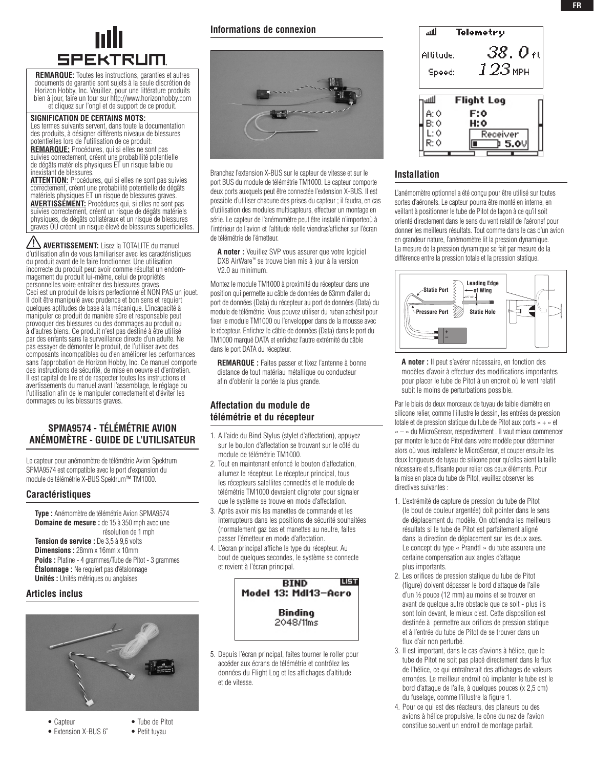

**REMARQUE:** Toutes les instructions, garanties et autres documents de garantie sont sujets à la seule discrétion de Horizon Hobby, Inc. Veuillez, pour une littérature produits bien à jour, faire un tour sur http://www.horizonhobby.com et cliquez sur l'ongl et de support de ce produit.

### **SIGNIFICATION DE CERTAINS MOTS:**

Les termes suivants servent, dans toute la documentation des produits, à désigner différents niveaux de blessures potentielles lors de l'utilisation de ce produit:

**REMARQUE:** Procédures, qui si elles ne sont pas suivies correctement, créent une probabilité potentielle de dégâts matériels physiques ET un risque faible ou inexistant de blessures.

**ATTENTION:** Procédures, qui si elles ne sont pas suivies correctement, créent une probabilité potentielle de dégâts matériels physiques ET un risque de blessures graves. **AVERTISSEMENT:** Procédures qui, si elles ne sont pas suivies correctement, créent un risque de dégâts matériels physiques, de dégâts collatéraux et un risque de blessures graves OU créent un risque élevé de blessures superficielles.

AVERTISSEMENT: Lisez la TOTALITE du manuel d'utilisation afin de vous familiariser avec les caractéristiques du produit avant de le faire fonctionner. Une utilisation incorrecte du produit peut avoir comme résultat un endommagement du produit lui-même, celui de propriétés personnelles voire entraîner des blessures graves. Ceci est un produit de loisirs perfectionné et NON PAS un jouet. Il doit être manipulé avec prudence et bon sens et requiert quelques aptitudes de base à la mécanique. L'incapacité à manipuler ce produit de manière sûre et responsable peut provoquer des blessures ou des dommages au produit ou à d'autres biens. Ce produit n'est pas destiné à être utilisé par des enfants sans la surveillance directe d'un adulte. Ne pas essayer de démonter le produit, de l'utiliser avec des composants incompatibles ou d'en améliorer les performances sans l'approbation de Horizon Hobby, Inc. Ce manuel comporte des instructions de sécurité, de mise en oeuvre et d'entretien. Il est capital de lire et de respecter toutes les instructions et avertissements du manuel avant l'assemblage, le réglage ou l'utilisation afin de le manipuler correctement et d'éviter les dommages ou les blessures graves.

# **SPMA9574 - Télémétrie Avion Anémomètre - Guide de l'utilisateur**

Le capteur pour anémomètre de télémétrie Avion Spektrum SPMA9574 est compatible avec le port d'expansion du module de télémétrie X-BUS Spektrum™ TM1000.

### **Caractéristiques**

**Type :** Anémomètre de télémétrie Avion SPMA9574 **Domaine de mesure :** de 15 à 350 mph avec une résolution de 1 mph

**Tension de service :** De 3,5 à 9,6 volts **Dimensions :** 28mm x 16mm x 10mm **Poids :** Platine - 4 grammes/Tube de Pitot - 3 grammes **Étalonnage :** Ne requiert pas d'étalonnage **Unités :** Unités métriques ou anglaises

### **Articles inclus**



- Capteur Tube de Pitot
- 
- 

### • Extension X-BUS 6" • Petit tuyau



Branchez l'extension X-BUS sur le capteur de vitesse et sur le port BUS du module de télémétrie TM1000. Le capteur comporte deux ports auxquels peut être connectée l'extension X-BUS. Il est possible d'utiliser chacune des prises du capteur ; il faudra, en cas d'utilisation des modules multicapteurs, effectuer un montage en série. Le capteur de l'anémomètre peut être installé n'importeoù à l'intérieur de l'avion et l'altitude réelle viendras'afficher sur l'écran de télémétrie de l'émetteur.

**A noter :** Veuillez SVP vous assurer que votre logiciel DX8 AirWare™ se trouve bien mis à jour à la version V2.0 au minimum.

Montez le module TM1000 à proximité du récepteur dans une position qui permette au câble de données de 63mm d'aller du port de données (Data) du récepteur au port de données (Data) du module de télémétrie. Vous pouvez utiliser du ruban adhésif pour fixer le module TM1000 ou l'envelopper dans de la mousse avec le récepteur. Enfichez le câble de données (Data) dans le port du TM1000 marqué DATA et enfichez l'autre extrémité du câble dans le port DATA du récepteur.

**REMARQUE :** Faites passer et fixez l'antenne à bonne distance de tout matériau métallique ou conducteur afin d'obtenir la portée la plus grande.

# **Affectation du module de télémétrie et du récepteur**

- 1. A l'aide du Bind Stylus (stylet d'affectation), appuyez sur le bouton d'affectation se trouvant sur le côté du module de télémétrie TM1000.
- 2. Tout en maintenant enfoncé le bouton d'affectation, allumez le récepteur. Le récepteur principal, tous les récepteurs satellites connectés et le module de télémétrie TM1000 devraient clignoter pour signaler que le système se trouve en mode d'affectation.
- 3. Après avoir mis les manettes de commande et les interrupteurs dans les positions de sécurité souhaitées (normalement gaz bas et manettes au neutre, faites passer l'émetteur en mode d'affectation.
- 4. L'écran principal affiche le type du récepteur. Au bout de quelques secondes, le système se connecte et revient à l'écran principal.



5. Depuis l'écran principal, faites tourner le roller pour accéder aux écrans de télémétrie et contrôlez les données du Flight Log et les affichages d'altitude et de vitesse.

| لللا      | Telemetry         |
|-----------|-------------------|
| Altitude: | $38.0$ ft         |
| Speed:    | $123$ мен         |
|           |                   |
| لللا      | <b>Flight Log</b> |
| A: Ó      | F:0               |
| B: 0      | H: 0              |
| Ŀб        | Receiver          |
| R∙ó       | b 5.0V            |
|           |                   |

## **Installation**

L'anémomètre optionnel a été conçu pour être utilisé sur toutes sortes d'aéronefs. Le capteur pourra être monté en interne, en veillant à positionner le tube de Pitot de façon à ce qu'il soit orienté directement dans le sens du vent relatif de l'aéronef pour donner les meilleurs résultats. Tout comme dans le cas d'un avion en grandeur nature, l'anémomètre lit la pression dynamique. La mesure de la pression dynamique se fait par mesure de la différence entre la pression totale et la pression statique.



**A noter :** Il peut s'avérer nécessaire, en fonction des modèles d'avoir à effectuer des modifications importantes pour placer le tube de Pitot à un endroit où le vent relatif subit le moins de perturbations possible.

Par le biais de deux morceaux de tuyau de faible diamètre en silicone relier, comme l'illustre le dessin, les entrées de pression totale et de pression statique du tube de Pitot aux ports « + » et « – » du MicroSensor, respectivement . Il vaut mieux commencer par monter le tube de Pitot dans votre modèle pour déterminer alors où vous installerez le MicroSensor, et couper ensuite les deux longueurs de tuyau de silicone pour qu'elles aient la taille nécessaire et suffisante pour relier ces deux éléments. Pour la mise en place du tube de Pitot, veuillez observer les directives suivantes :

- 1. L'extrémité de capture de pression du tube de Pitot (le bout de couleur argentée) doit pointer dans le sens de déplacement du modèle. On obtiendra les meilleurs résultats si le tube de Pitot est parfaitement aligné dans la direction de déplacement sur les deux axes. Le concept du type « Prandtl » du tube assurera une certaine compensation aux angles d'attaque plus importants.
- 2. Les orifices de pression statique du tube de Pitot (figure) doivent dépasser le bord d'attaque de l'aile d'un ½ pouce (12 mm) au moins et se trouver en avant de quelque autre obstacle que ce soit - plus ils sont loin devant, le mieux c'est. Cette disposition est destinée à permettre aux orifices de pression statique et à l'entrée du tube de Pitot de se trouver dans un flux d'air non perturbé.
- 3. Il est important, dans le cas d'avions à hélice, que le tube de Pitot ne soit pas placé directement dans le flux de l'hélice, ce qui entraînerait des affichages de valeurs erronées. Le meilleur endroit où implanter le tube est le bord d'attaque de l'aile, à quelques pouces (x 2,5 cm) du fuselage, comme l'illustre la figure 1.
- 4. Pour ce qui est des réacteurs, des planeurs ou des avions à hélice propulsive, le cône du nez de l'avion constitue souvent un endroit de montage parfait.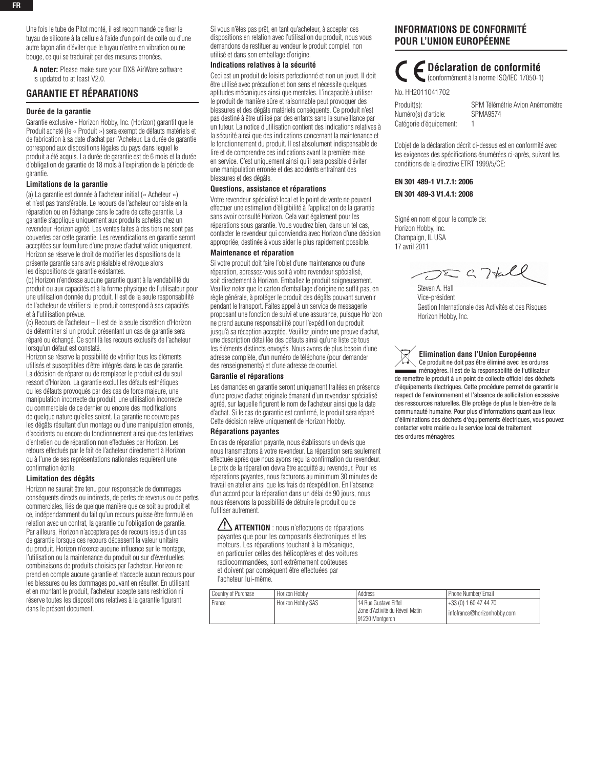Une fois le tube de Pitot monté, il est recommandé de fixer le tuyau de silicone à la cellule à l'aide d'un point de colle ou d'une autre façon afin d'éviter que le tuyau n'entre en vibration ou ne bouge, ce qui se traduirait par des mesures erronées.

**A noter:** Please make sure your DX8 AirWare software is updated to at least V2.0.

### **garantie et rÉparations**

### **Durée de la garantie**

Garantie exclusive - Horizon Hobby, Inc. (Horizon) garantit que le Produit acheté (le « Produit ») sera exempt de défauts matériels et de fabrication à sa date d'achat par l'Acheteur. La durée de garantie correspond aux dispositions légales du pays dans lequel le produit a été acquis. La durée de garantie est de 6 mois et la durée d'obligation de garantie de 18 mois à l'expiration de la période de garantie.

#### **Limitations de la garantie**

(a) La garantie est donnée à l'acheteur initial (« Acheteur ») et n'est pas transférable. Le recours de l'acheteur consiste en la réparation ou en l'échange dans le cadre de cette garantie. La garantie s'applique uniquement aux produits achetés chez un revendeur Horizon agréé. Les ventes faites à des tiers ne sont pas couvertes par cette garantie. Les revendications en garantie seront acceptées sur fourniture d'une preuve d'achat valide uniquement. Horizon se réserve le droit de modifier les dispositions de la présente garantie sans avis préalable et révoque alors les dispositions de garantie existantes.

(b) Horizon n'endosse aucune garantie quant à la vendabilité du produit ou aux capacités et à la forme physique de l'utilisateur pour une utilisation donnée du produit. Il est de la seule responsabilité de l'acheteur de vérifier si le produit correspond à ses capacités et à l'utilisation prévue.

(c) Recours de l'acheteur – Il est de la seule discrétion d'Horizon de déterminer si un produit présentant un cas de garantie sera réparé ou échangé. Ce sont là les recours exclusifs de l'acheteur lorsqu'un défaut est constaté.

Horizon se réserve la possibilité de vérifier tous les éléments utilisés et susceptibles d'être intégrés dans le cas de garantie. La décision de réparer ou de remplacer le produit est du seul ressort d'Horizon. La garantie exclut les défauts esthétiques ou les défauts provoqués par des cas de force majeure, une manipulation incorrecte du produit, une utilisation incorrecte ou commerciale de ce dernier ou encore des modifications de quelque nature qu'elles soient. La garantie ne couvre pas les dégâts résultant d'un montage ou d'une manipulation erronés, d'accidents ou encore du fonctionnement ainsi que des tentatives d'entretien ou de réparation non effectuées par Horizon. Les retours effectués par le fait de l'acheteur directement à Horizon ou à l'une de ses représentations nationales requièrent une confirmation écrite.

#### **Limitation des dégâts**

Horizon ne saurait être tenu pour responsable de dommages conséquents directs ou indirects, de pertes de revenus ou de pertes commerciales, liés de quelque manière que ce soit au produit et ce, indépendamment du fait qu'un recours puisse être formulé en relation avec un contrat, la garantie ou l'obligation de garantie. Par ailleurs, Horizon n'acceptera pas de recours issus d'un cas de garantie lorsque ces recours dépassent la valeur unitaire du produit. Horizon n'exerce aucune influence sur le montage, l'utilisation ou la maintenance du produit ou sur d'éventuelles combinaisons de produits choisies par l'acheteur. Horizon ne prend en compte aucune garantie et n'accepte aucun recours pour les blessures ou les dommages pouvant en résulter. En utilisant et en montant le produit, l'acheteur accepte sans restriction ni réserve toutes les dispositions relatives à la garantie figurant dans le présent document.

Si vous n'êtes pas prêt, en tant qu'acheteur, à accepter ces dispositions en relation avec l'utilisation du produit, nous vous demandons de restituer au vendeur le produit complet, non utilisé et dans son emballage d'origine.

### **Indications relatives à la sécurité**

Ceci est un produit de loisirs perfectionné et non un jouet. Il doit être utilisé avec précaution et bon sens et nécessite quelques aptitudes mécaniques ainsi que mentales. L'incapacité à utiliser le produit de manière sûre et raisonnable peut provoquer des blessures et des dégâts matériels conséquents. Ce produit n'est pas destiné à être utilisé par des enfants sans la surveillance par un tuteur. La notice d'utilisation contient des indications relatives à la sécurité ainsi que des indications concernant la maintenance et le fonctionnement du produit. Il est absolument indispensable de lire et de comprendre ces indications avant la première mise en service. C'est uniquement ainsi qu'il sera possible d'éviter une manipulation erronée et des accidents entraînant des blessures et des dégâts.

#### **Questions, assistance et réparations**

Votre revendeur spécialisé local et le point de vente ne peuvent effectuer une estimation d'éligibilité à l'application de la garantie sans avoir consulté Horizon. Cela vaut également pour les réparations sous garantie. Vous voudrez bien, dans un tel cas, contacter le revendeur qui conviendra avec Horizon d'une décision appropriée, destinée à vous aider le plus rapidement possible.

#### **Maintenance et réparation**

Si votre produit doit faire l'objet d'une maintenance ou d'une réparation, adressez-vous soit à votre revendeur spécialisé, soit directement à Horizon. Emballez le produit soigneusement. Veuillez noter que le carton d'emballage d'origine ne suffit pas, en règle générale, à protéger le produit des dégâts pouvant survenir pendant le transport. Faites appel à un service de messagerie proposant une fonction de suivi et une assurance, puisque Horizon ne prend aucune responsabilité pour l'expédition du produit jusqu'à sa réception acceptée. Veuillez joindre une preuve d'achat, une description détaillée des défauts ainsi qu'une liste de tous les éléments distincts envoyés. Nous avons de plus besoin d'une adresse complète, d'un numéro de téléphone (pour demander des renseignements) et d'une adresse de courriel.

### **Garantie et réparations**

Les demandes en garantie seront uniquement traitées en présence d'une preuve d'achat originale émanant d'un revendeur spécialisé agréé, sur laquelle figurent le nom de l'acheteur ainsi que la date d'achat. Si le cas de garantie est confirmé, le produit sera réparé Cette décision relève uniquement de Horizon Hobby.

#### **Réparations payantes**

En cas de réparation payante, nous établissons un devis que nous transmettons à votre revendeur. La réparation sera seulement effectuée après que nous ayons reçu la confirmation du revendeur. Le prix de la réparation devra être acquitté au revendeur. Pour les réparations payantes, nous facturons au minimum 30 minutes de travail en atelier ainsi que les frais de réexpédition. En l'absence d'un accord pour la réparation dans un délai de 90 jours, nous nous réservons la possibilité de détruire le produit ou de l'utiliser autrement.

**ATTENTION** : nous n'effectuons de réparations payantes que pour les composants électroniques et les moteurs. Les réparations touchant à la mécanique, en particulier celles des hélicoptères et des voitures radiocommandées, sont extrêmement coûteuses et doivent par conséquent être effectuées par l'acheteur lui-même.

# **Informations de Conformité pour l'Union Européenne**

# **Déclaration de conformité**

(conformément à la norme ISO/IEC 17050-1)

No. HH2011041702 Numéro(s) d'article: SPMA9574 Catégorie d'équipement: 1

Produit(s): SPM Télémétrie Avion Anémomètre

L'objet de la déclaration décrit ci-dessus est en conformité avec les exigences des spécifications énumérées ci-après, suivant les conditions de la directive ETRT 1999/5/CE:

### EN 301 489-1 V1.7.1: 2006 EN 301 489-3 V1.4.1: 2008

Signé en nom et pour le compte de: Horizon Hobby, Inc. Champaign, IL USA 17 avril 2011

 $D\Sigma$  a Ttall

Steven A. Hall Vice-président Gestion Internationale des Activités et des Risques Horizon Hobby, Inc.

**Elimination dans l'Union Européenne** Ce produit ne doit pas être éliminé avec les ordures ménagères. Il est de la responsabilité de l'utilisateur de remettre le produit à un point de collecte officiel des déchets d'équipements électriques. Cette procédure permet de garantir le respect de l'environnement et l'absence de sollicitation excessive des ressources naturelles. Elle protège de plus le bien-être de la communauté humaine. Pour plus d'informations quant aux lieux d'éliminations des déchets d'équipements électriques, vous pouvez contacter votre mairie ou le service local de traitement des ordures ménagères.

| Country of Purchase | Horizon Hobby     | Address                                                                         | Phone Number/ Email                                       |
|---------------------|-------------------|---------------------------------------------------------------------------------|-----------------------------------------------------------|
| France              | Horizon Hobby SAS | l 14 Rue Gustave Eiffel<br>l Zone d'Activité du Réveil Matin<br>91230 Montgeron | 1 + 33 (0) 1 60 47 44 70<br>I infofrance@horizonhobby.com |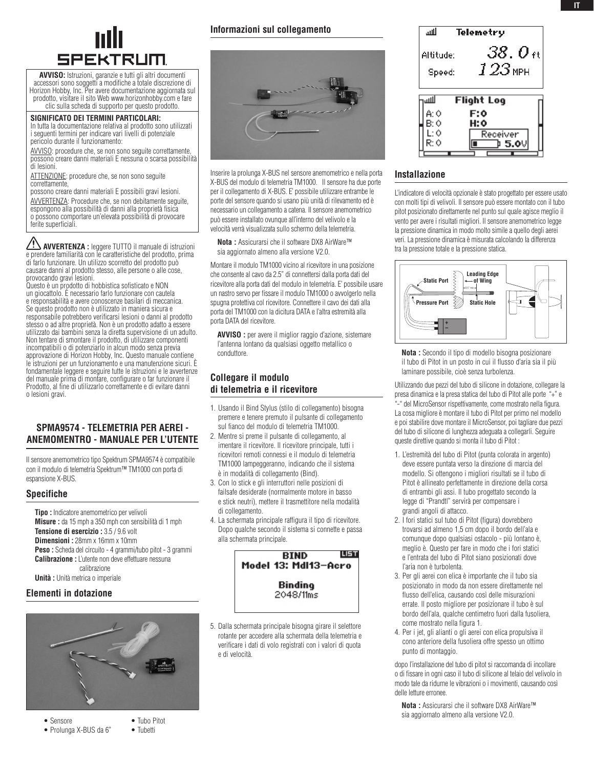

**AVVISO:** Istruzioni, garanzie e tutti gli altri documenti accessori sono soggetti a modifiche a totale discrezione di Horizon Hobby, Inc. Per avere documentazione aggiornata sul prodotto, visitare il sito Web www.horizonhobby.com e fare clic sulla scheda di supporto per questo prodotto.

### **Significato dei termini particolari:**

In tutta la documentazione relativa al prodotto sono utilizzati i seguenti termini per indicare vari livelli di potenziale pericolo durante il funzionamento:

AVVISO: procedure che, se non sono seguite correttamente, possono creare danni materiali E nessuna o scarsa possibilità di lesioni.

ATTENZIONE: procedure che, se non sono seguite correttamente,

possono creare danni materiali E possibili gravi lesioni. AVVERTENZA: Procedure che, se non debitamente seguite, espongono alla possibilità di danni alla proprietà fisica o possono comportare un'elevata possibilità di provocare ferite superficiali.

**AVVERTENZA :** leggere TUTTO il manuale di istruzioni e prendere familiarità con le caratteristiche del prodotto, prima di farlo funzionare. Un utilizzo scorretto del prodotto può causare danni al prodotto stesso, alle persone o alle cose, provocando gravi lesioni.

Questo è un prodotto di hobbistica sofisticato e NON un giocattolo. È necessario farlo funzionare con cautela e responsabilità e avere conoscenze basilari di meccanica. Se questo prodotto non è utilizzato in maniera sicura e responsabile potrebbero verificarsi lesioni o danni al prodotto stesso o ad altre proprietà. Non è un prodotto adatto a essere utilizzato dai bambini senza la diretta supervisione di un adulto. Non tentare di smontare il prodotto, di utilizzare componenti incompatibili o di potenziarlo in alcun modo senza previa approvazione di Horizon Hobby, Inc. Questo manuale contiene le istruzioni per un funzionamento e una manutenzione sicuri. È fondamentale leggere e seguire tutte le istruzioni e le avvertenze del manuale prima di montare, configurare o far funzionare il Prodotto, al fine di utilizzarlo correttamente e di evitare danni o lesioni gravi.

## **SPMA9574 - Telemetria per aerei - Anemomentro - Manuale per l'utente**

Il sensore anemometrico tipo Spektrum SPMA9574 è compatibile con il modulo di telemetria Spektrum™ TM1000 con porta di espansione X-BUS.

### **Specifiche**

**Tipo :** Indicatore anemometrico per velivoli **Misure :** da 15 mph a 350 mph con sensibilità di 1 mph **Tensione di esercizio :** 3.5 / 9.6 volt **Dimensioni :** 28mm x 16mm x 10mm **Peso :** Scheda del circuito - 4 grammi/tubo pitot - 3 grammi **Calibrazione :** L'utente non deve effettuare nessuna calibrazione **Unità :** Unità metrica o imperiale

## **Elementi in dotazione**



- Prolunga X-BUS da 6"
- Sensore Tubo Pitot

## **Informazioni sul collegamento**



Inserire la prolunga X-BUS nel sensore anemometrico e nella porta X-BUS del modulo di telemetria TM1000. Il sensore ha due porte per il collegamento di X-BUS. E' possibile utilizzare entrambe le porte del sensore quando si usano più unità di rilevamento ed è necessario un collegamento a catena. Il sensore anemometrico può essere installato ovunque all'interno del velivolo e la velocità verrà visualizzata sullo schermo della telemetria.

**Nota :** Assicurarsi che il software DX8 AirWare™ sia aggiornato almeno alla versione V2.0.

Montare il modulo TM1000 vicino al ricevitore in una posizione che consente al cavo da 2.5" di connettersi dalla porta dati del ricevitore alla porta dati del modulo in telemetria. E' possibile usare un nastro servo per fissare il modulo TM1000 o avvolgerlo nella spugna protettiva col ricevitore. Connettere il cavo dei dati alla porta del TM1000 con la dicitura DATA e l'altra estremità alla porta DATA del ricevitore.

**AVVISO :** per avere il miglior raggio d'azione, sistemare l'antenna lontano da qualsiasi oggetto metallico o conduttore.

# **Collegare il modulo di telemetria e il ricevitore**

- 1. Usando il Bind Stylus (stilo di collegamento) bisogna premere e tenere premuto il pulsante di collegamento sul fianco del modulo di telemetria TM1000.
- 2. Mentre si preme il pulsante di collegamento, al imentare il ricevitore. Il ricevitore principale, tutti i ricevitori remoti connessi e il modulo di telemetria TM1000 lampeggeranno, indicando che il sistema è in modalità di collegamento (Bind).
- 3. Con lo stick e gli interruttori nelle posizioni di failsafe desiderate (normalmente motore in basso e stick neutri), mettere il trasmettitore nella modalità di collegamento.
- 4. La schermata principale raffigura il tipo di ricevitore. Dopo qualche secondo il sistema si connette e passa alla schermata principale.



5. Dalla schermata principale bisogna girare il selettore rotante per accedere alla schermata della telemetria e verificare i dati di volo registrati con i valori di quota e di velocità.



### **Installazione**

L'indicatore di velocità opzionale è stato progettato per essere usato con molti tipi di velivoli. Il sensore può essere montato con il tubo pitot posizionato direttamente nel punto sul quale agisce meglio il vento per avere i risultati migliori. Il sensore anemometrico legge la pressione dinamica in modo molto simile a quello degli aerei veri. La pressione dinamica è misurata calcolando la differenza tra la pressione totale e la pressione statica.



**Nota :** Secondo il tipo di modello bisogna posizionare il tubo di Pitot in un posto in cui il flusso d'aria sia il più laminare possibile, cioè senza turbolenza.

Utilizzando due pezzi del tubo di silicone in dotazione, collegare la presa dinamica e la presa statica del tubo di Pitot alle porte "+" e "-" del MicroSensor rispettivamente, come mostrato nella figura. La cosa migliore è montare il tubo di Pitot per primo nel modello e poi stabilire dove montare il MicroSensor, poi tagliare due pezzi del tubo di silicone di lunghezza adeguata a collegarli. Seguire queste direttive quando si monta il tubo di Pitot :

- 1. L'estremità del tubo di Pitot (punta colorata in argento) deve essere puntata verso la direzione di marcia del modello. Si ottengono i migliori risultati se il tubo di Pitot è allineato perfettamente in direzione della corsa di entrambi gli assi. Il tubo progettato secondo la legge di "Prandtl" servirà per compensare i grandi angoli di attacco.
- 2. I fori statici sul tubo di Pitot (figura) dovrebbero trovarsi ad almeno 1,5 cm dopo il bordo dell'ala e comunque dopo qualsiasi ostacolo - più lontano è, meglio è. Questo per fare in modo che i fori statici e l'entrata del tubo di Pitot siano posizionati dove l'aria non è turbolenta.
- 3. Per gli aerei con elica è importante che il tubo sia posizionato in modo da non essere direttamente nel flusso dell'elica, causando così delle misurazioni errate. Il posto migliore per posizionare il tubo è sul bordo dell'ala, qualche centimetro fuori dalla fusoliera, come mostrato nella figura 1.
- 4. Per i jet, gli alianti o gli aerei con elica propulsiva il cono anteriore della fusoliera offre spesso un ottimo punto di montaggio.

dopo l'installazione del tubo di pitot si raccomanda di incollare o di fissare in ogni caso il tubo di silicone al telaio del velivolo in modo tale da ridurne le vibrazioni o i movimenti, causando così delle letture erronee.

**Nota :** Assicurarsi che il software DX8 AirWare™ sia aggiornato almeno alla versione V2.0.